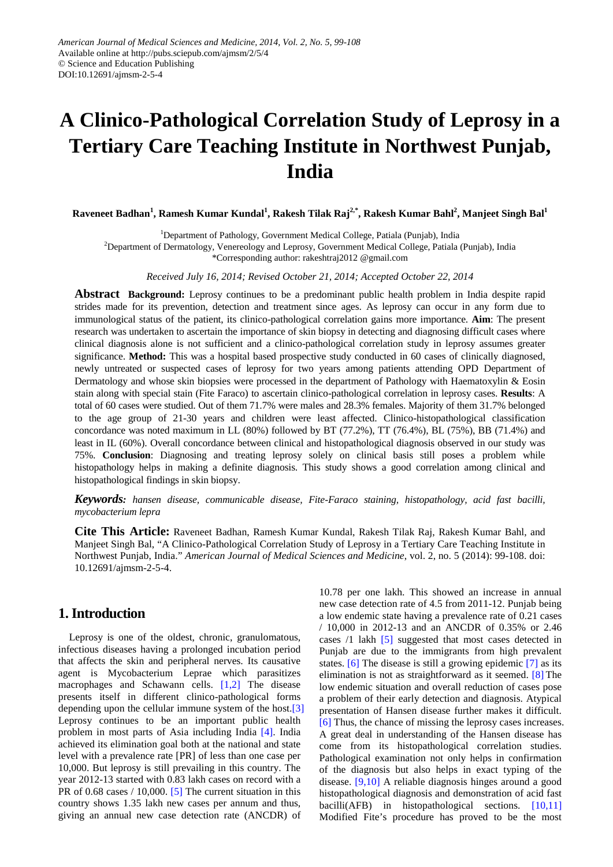# **A Clinico-Pathological Correlation Study of Leprosy in a Tertiary Care Teaching Institute in Northwest Punjab, India**

 $\bm{\mathrm{R}}$ aveneet Badhan<sup>1</sup>, Ramesh Kumar Kundal<sup>1</sup>, Rakesh Tilak Raj<sup>2,\*</sup>, Rakesh Kumar Bahl<sup>2</sup>, Manjeet Singh Bal<sup>1</sup>

<sup>1</sup>Department of Pathology, Government Medical College, Patiala (Punjab), India

<sup>2</sup>Department of Dermatology, Venereology and Leprosy, Government Medical College, Patiala (Punjab), India

\*Corresponding author: rakeshtraj2012 @gmail.com

*Received July 16, 2014; Revised October 21, 2014; Accepted October 22, 2014*

**Abstract Background:** Leprosy continues to be a predominant public health problem in India despite rapid strides made for its prevention, detection and treatment since ages. As leprosy can occur in any form due to immunological status of the patient, its clinico-pathological correlation gains more importance. **Aim**: The present research was undertaken to ascertain the importance of skin biopsy in detecting and diagnosing difficult cases where clinical diagnosis alone is not sufficient and a clinico-pathological correlation study in leprosy assumes greater significance. **Method:** This was a hospital based prospective study conducted in 60 cases of clinically diagnosed, newly untreated or suspected cases of leprosy for two years among patients attending OPD Department of Dermatology and whose skin biopsies were processed in the department of Pathology with Haematoxylin & Eosin stain along with special stain (Fite Faraco) to ascertain clinico-pathological correlation in leprosy cases. **Results**: A total of 60 cases were studied. Out of them 71.7% were males and 28.3% females. Majority of them 31.7% belonged to the age group of 21-30 years and children were least affected. Clinico-histopathological classification concordance was noted maximum in LL (80%) followed by BT (77.2%), TT (76.4%), BL (75%), BB (71.4%) and least in IL (60%). Overall concordance between clinical and histopathological diagnosis observed in our study was 75%. **Conclusion**: Diagnosing and treating leprosy solely on clinical basis still poses a problem while histopathology helps in making a definite diagnosis. This study shows a good correlation among clinical and histopathological findings in skin biopsy.

*Keywords: hansen disease, communicable disease, Fite-Faraco staining, histopathology, acid fast bacilli, mycobacterium lepra*

**Cite This Article:** Raveneet Badhan, Ramesh Kumar Kundal, Rakesh Tilak Raj, Rakesh Kumar Bahl, and Manjeet Singh Bal, "A Clinico-Pathological Correlation Study of Leprosy in a Tertiary Care Teaching Institute in Northwest Punjab, India." *American Journal of Medical Sciences and Medicine*, vol. 2, no. 5 (2014): 99-108. doi: 10.12691/ajmsm-2-5-4.

# **1. Introduction**

Leprosy is one of the oldest, chronic, granulomatous, infectious diseases having a prolonged incubation period that affects the skin and peripheral nerves. Its causative agent is Mycobacterium Leprae which parasitizes macrophages and Schawann cells. [\[1,2\]](#page-7-0) The disease presents itself in different clinico-pathological forms depending upon the cellular immune system of the host.<sup>[3]</sup> Leprosy continues to be an important public health problem in most parts of Asia including India [\[4\].](#page-8-1) India achieved its elimination goal both at the national and state level with a prevalence rate [PR] of less than one case per 10,000. But leprosy is still prevailing in this country. The year 2012-13 started with 0.83 lakh cases on record with a PR of 0.68 cases / 10,000. [\[5\]](#page-8-2) The current situation in this country shows 1.35 lakh new cases per annum and thus, giving an annual new case detection rate (ANCDR) of

10.78 per one lakh. This showed an increase in annual new case detection rate of 4.5 from 2011-12. Punjab being a low endemic state having a prevalence rate of 0.21 cases / 10,000 in 2012-13 and an ANCDR of 0.35% or 2.46 cases /1 lakh [\[5\]](#page-8-2) suggested that most cases detected in Punjab are due to the immigrants from high prevalent states. [\[6\]](#page-8-3) The disease is still a growing epidemic [\[7\]](#page-8-4) as its elimination is not as straightforward as it seemed. [\[8\]](#page-8-5) The low endemic situation and overall reduction of cases pose a problem of their early detection and diagnosis. Atypical presentation of Hansen disease further makes it difficult. [\[6\]](#page-8-3) Thus, the chance of missing the leprosy cases increases. A great deal in understanding of the Hansen disease has come from its histopathological correlation studies. Pathological examination not only helps in confirmation of the diagnosis but also helps in exact typing of the disease. [\[9,10\]](#page-8-6) A reliable diagnosis hinges around a good histopathological diagnosis and demonstration of acid fast bacilli(AFB) in histopathological sections. [\[10,11\]](#page-8-7) Modified Fite's procedure has proved to be the most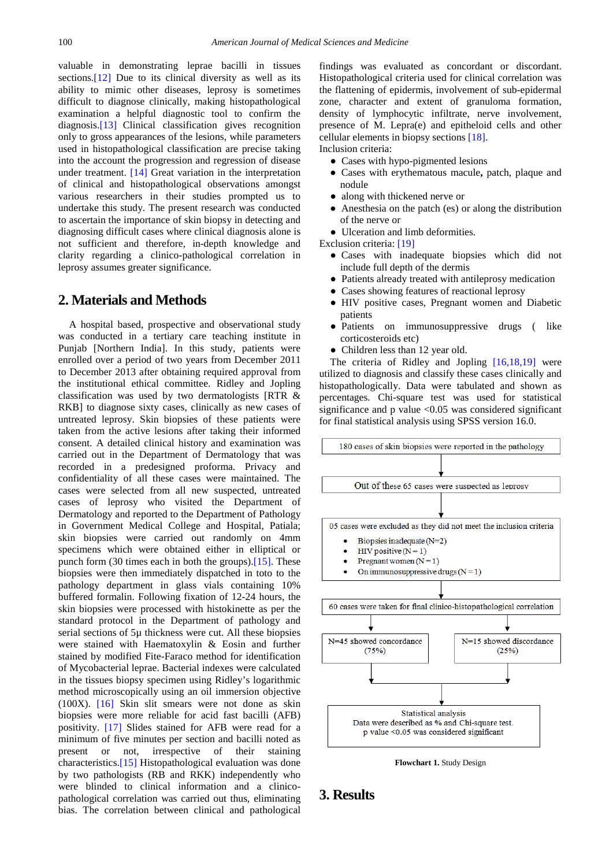valuable in demonstrating leprae bacilli in tissues sections.<sup>[12]</sup> Due to its clinical diversity as well as its ability to mimic other diseases, leprosy is sometimes difficult to diagnose clinically, making histopathological examination a helpful diagnostic tool to confirm the diagnosis[.\[13\]](#page-8-9) Clinical classification gives recognition only to gross appearances of the lesions, while parameters used in histopathological classification are precise taking into the account the progression and regression of disease under treatment. [\[14\]](#page-8-10) Great variation in the interpretation of clinical and histopathological observations amongst various researchers in their studies prompted us to undertake this study. The present research was conducted to ascertain the importance of skin biopsy in detecting and diagnosing difficult cases where clinical diagnosis alone is not sufficient and therefore, in-depth knowledge and clarity regarding a clinico-pathological correlation in leprosy assumes greater significance.

#### **2. Materials and Methods**

A hospital based, prospective and observational study was conducted in a tertiary care teaching institute in Punjab [Northern India]. In this study, patients were enrolled over a period of two years from December 2011 to December 2013 after obtaining required approval from the institutional ethical committee. Ridley and Jopling classification was used by two dermatologists [RTR & RKB] to diagnose sixty cases, clinically as new cases of untreated leprosy. Skin biopsies of these patients were taken from the active lesions after taking their informed consent. A detailed clinical history and examination was carried out in the Department of Dermatology that was recorded in a predesigned proforma. Privacy and confidentiality of all these cases were maintained. The cases were selected from all new suspected, untreated cases of leprosy who visited the Department of Dermatology and reported to the Department of Pathology in Government Medical College and Hospital, Patiala; skin biopsies were carried out randomly on 4mm specimens which were obtained either in elliptical or punch form (30 times each in both the groups)[.\[15\].](#page-8-11) These biopsies were then immediately dispatched in toto to the pathology department in glass vials containing 10% buffered formalin. Following fixation of 12-24 hours, the skin biopsies were processed with histokinette as per the standard protocol in the Department of pathology and serial sections of 5µ thickness were cut. All these biopsies were stained with Haematoxylin & Eosin and further stained by modified Fite-Faraco method for identification of Mycobacterial leprae. Bacterial indexes were calculated in the tissues biopsy specimen using Ridley's logarithmic method microscopically using an oil immersion objective (100X). [\[16\]](#page-8-12) Skin slit smears were not done as skin biopsies were more reliable for acid fast bacilli (AFB) positivity. [\[17\]](#page-8-13) Slides stained for AFB were read for a minimum of five minutes per section and bacilli noted as present or not, irrespective of their staining characteristics[.\[15\]](#page-8-11) Histopathological evaluation was done by two pathologists (RB and RKK) independently who were blinded to clinical information and a clinicopathological correlation was carried out thus, eliminating bias. The correlation between clinical and pathological

findings was evaluated as concordant or discordant. Histopathological criteria used for clinical correlation was the flattening of epidermis, involvement of sub-epidermal zone, character and extent of granuloma formation, density of lymphocytic infiltrate, nerve involvement, presence of M. Lepra(e) and epitheloid cells and other cellular elements in biopsy sections [\[18\].](#page-8-14)

Inclusion criteria:

- Cases with hypo-pigmented lesions
- Cases with erythematous macule**,** patch, plaque and nodule
- along with thickened nerve or
- Anesthesia on the patch (es) or along the distribution of the nerve or
- Ulceration and limb deformities.
- Exclusion criteria: [\[19\]](#page-8-15)
	- Cases with inadequate biopsies which did not include full depth of the dermis
	- Patients already treated with antileprosy medication
	- Cases showing features of reactional leprosy
	- HIV positive cases, Pregnant women and Diabetic patients
	- Patients on immunosuppressive drugs ( like corticosteroids etc)
	- Children less than 12 year old.

The criteria of Ridley and Jopling [\[16,18,19\]](#page-8-12) were utilized to diagnosis and classify these cases clinically and histopathologically. Data were tabulated and shown as percentages. Chi-square test was used for statistical significance and  $p$  value  $\langle 0.05 \rangle$  was considered significant for final statistical analysis using SPSS version 16.0.



**Flowchart 1.** Study Design

# **3. Results**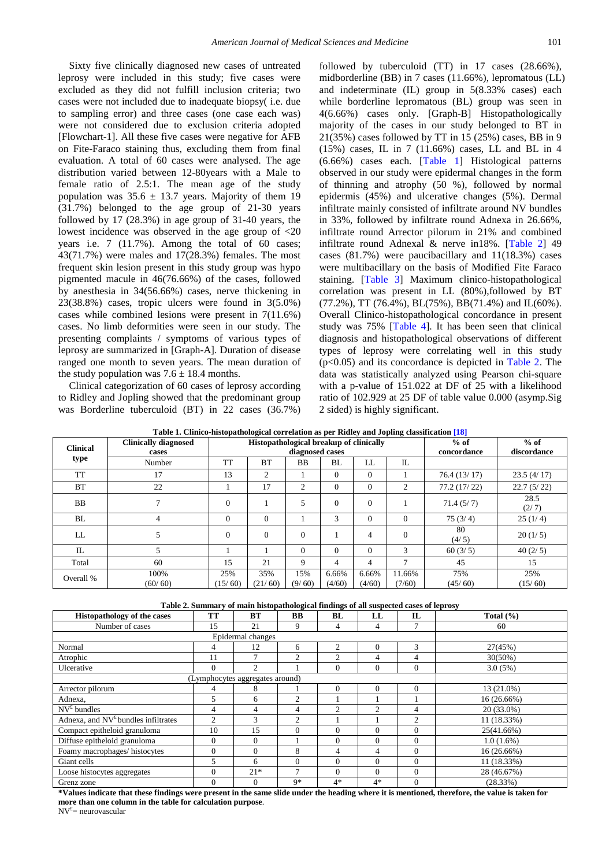Sixty five clinically diagnosed new cases of untreated leprosy were included in this study; five cases were excluded as they did not fulfill inclusion criteria; two cases were not included due to inadequate biopsy( i.e. due to sampling error) and three cases (one case each was) were not considered due to exclusion criteria adopted [Flowchart-1]. All these five cases were negative for AFB on Fite-Faraco staining thus, excluding them from final evaluation. A total of 60 cases were analysed. The age distribution varied between 12-80years with a Male to female ratio of 2.5:1. The mean age of the study population was  $35.6 \pm 13.7$  years. Majority of them 19 (31.7%) belonged to the age group of 21-30 years followed by 17 (28.3%) in age group of 31-40 years, the lowest incidence was observed in the age group of <20 years i.e. 7 (11.7%). Among the total of 60 cases; 43(71.7%) were males and 17(28.3%) females. The most frequent skin lesion present in this study group was hypo pigmented macule in 46(76.66%) of the cases, followed by anesthesia in 34(56.66%) cases, nerve thickening in 23(38.8%) cases, tropic ulcers were found in 3(5.0%) cases while combined lesions were present in 7(11.6%) cases. No limb deformities were seen in our study. The presenting complaints / symptoms of various types of leprosy are summarized in [Graph-A]. Duration of disease ranged one month to seven years. The mean duration of the study population was  $7.6 \pm 18.4$  months.

Clinical categorization of 60 cases of leprosy according to Ridley and Jopling showed that the predominant group was Borderline tuberculoid (BT) in 22 cases (36.7%) followed by tuberculoid (TT) in 17 cases (28.66%), midborderline (BB) in 7 cases (11.66%), lepromatous (LL) and indeterminate (IL) group in 5(8.33% cases) each while borderline lepromatous (BL) group was seen in 4(6.66%) cases only. [Graph-B] Histopathologically majority of the cases in our study belonged to BT in 21(35%) cases followed by TT in 15 (25%) cases, BB in 9 (15%) cases, IL in 7 (11.66%) cases, LL and BL in 4 (6.66%) cases each. [\[Table 1\]](#page-2-0) Histological patterns observed in our study were epidermal changes in the form of thinning and atrophy (50 %), followed by normal epidermis (45%) and ulcerative changes (5%). Dermal infiltrate mainly consisted of infiltrate around NV bundles in 33%, followed by infiltrate round Adnexa in 26.66%, infiltrate round Arrector pilorum in 21% and combined infiltrate round Adnexal & nerve in18%. [\[Table 2\]](#page-2-1) 49 cases (81.7%) were paucibacillary and 11(18.3%) cases were multibacillary on the basis of Modified Fite Faraco staining. [\[Table 3\]](#page-3-0) Maximum clinico-histopathological correlation was present in LL (80%),followed by BT (77.2%), TT (76.4%), BL(75%), BB(71.4%) and IL(60%). Overall Clinico-histopathological concordance in present study was 75% [\[Table 4\]](#page-3-1). It has been seen that clinical diagnosis and histopathological observations of different types of leprosy were correlating well in this study  $(p<0.05)$  and its concordance is depicted in [Table 2.](#page-2-1) The data was statistically analyzed using Pearson chi-square with a p-value of 151.022 at DF of 25 with a likelihood ratio of 102.929 at 25 DF of table value 0.000 (asymp.Sig 2 sided) is highly significant.

**Table 1. Clinico-histopathological correlation as per Ridley and Jopling classificatio[n \[18\]](#page-8-14)**

<span id="page-2-0"></span>

| Table 1. Chinco-mstopathological correlation as per Kiuley and Jophng classification [10] |                             |                 |                                         |               |                 |                 |                  |                |                |
|-------------------------------------------------------------------------------------------|-----------------------------|-----------------|-----------------------------------------|---------------|-----------------|-----------------|------------------|----------------|----------------|
| <b>Clinical</b><br>type                                                                   | <b>Clinically diagnosed</b> |                 | Histopathological breakup of clinically |               | $%$ of          | $%$ of          |                  |                |                |
|                                                                                           | cases                       | diagnosed cases |                                         |               |                 |                 |                  | concordance    | discordance    |
|                                                                                           | Number                      | <b>TT</b>       | <b>BT</b>                               | BB            | BL              | LL              | IL               |                |                |
| <b>TT</b>                                                                                 | 17                          | 13              | 2                                       |               | $\Omega$        | $\Omega$        |                  | 76.4(13/17)    | 23.5(4/17)     |
| <b>BT</b>                                                                                 | 22                          |                 | 17                                      | 2             | $\Omega$        | $\Omega$        | 2                | 77.2(17/22)    | 22.7(5/22)     |
| <b>BB</b>                                                                                 |                             | $\Omega$        |                                         | 5             | $\Omega$        | $\overline{0}$  |                  | 71.4(5/7)      | 28.5<br>(2/7)  |
| BL                                                                                        | 4                           | $\Omega$        | $\Omega$                                |               | 3               | $\Omega$        | $\Omega$         | 75(3/4)        | 25(1/4)        |
| LL                                                                                        |                             | $\overline{0}$  | $\overline{0}$                          | $\mathbf{0}$  |                 | 4               | $\mathbf{0}$     | 80<br>(4/5)    | 20(1/5)        |
| IL                                                                                        |                             |                 |                                         | $\Omega$      | $\Omega$        | $\Omega$        | 3                | 60(3/5)        | 40(2/5)        |
| Total                                                                                     | 60                          | 15              | 21                                      | 9             | $\overline{4}$  | 4               | 7                | 45             | 15             |
| Overall %                                                                                 | 100%<br>(60/60)             | 25%<br>(15/60)  | 35%<br>(21/60)                          | 15%<br>(9/60) | 6.66%<br>(4/60) | 6.66%<br>(4/60) | 11.66%<br>(7/60) | 75%<br>(45/60) | 25%<br>(15/60) |

**Table 2. Summary of main histopathological findings of all suspected cases of leprosy**

<span id="page-2-1"></span>

| <b>Histopathology of the cases</b>    | <b>TT</b>      | BT                              | BB             | BL             | LL             | $\mathbf L$    | Total $(\% )$ |
|---------------------------------------|----------------|---------------------------------|----------------|----------------|----------------|----------------|---------------|
| Number of cases                       | 15             | 21                              | 9              | 4              | 4              | 7              | 60            |
|                                       |                |                                 |                |                |                |                |               |
| Normal                                | 4              | 12                              | 6              | 2              | $\Omega$       | 3              | 27(45%)       |
| Atrophic                              | 11             | $\mathcal{I}$                   | $\overline{c}$ | $\overline{c}$ | 4              | 4              | $30(50\%)$    |
| Ulcerative                            | $\Omega$       | $\mathfrak{D}$                  |                | $\theta$       | $\Omega$       | $\Omega$       | 3.0(5%)       |
|                                       |                | (Lymphocytes aggregates around) |                |                |                |                |               |
| Arrector pilorum                      | 4              | 8                               |                | $\Omega$       | $\Omega$       | $\Omega$       | 13 (21.0%)    |
| Adnexa,                               | 5              | 6                               | $\overline{2}$ |                |                |                | 16 (26.66%)   |
| $NV^{\text{f}}$ bundles               | 4              | 4                               | 4              | $\overline{c}$ | $\overline{c}$ | 4              | 20 (33.0%)    |
| Adnexa, and $NVf$ bundles infiltrates | $\overline{2}$ | 3                               | $\overline{c}$ |                |                | $\overline{c}$ | 11 (18.33%)   |
| Compact epitheloid granuloma          | 10             | 15                              | $\theta$       | $\theta$       | $\Omega$       | $\Omega$       | 25(41.66%)    |
| Diffuse epitheloid granuloma          | $\Omega$       | $\Omega$                        |                | $\Omega$       | $\Omega$       | $\Omega$       | $1.0(1.6\%)$  |
| Foamy macrophages/ histocytes         | $\Omega$       | $\Omega$                        | 8              | 4              | 4              | $\Omega$       | 16 (26.66%)   |
| Giant cells                           | 5              | 6                               | $\theta$       | $\Omega$       | $\Omega$       | $\Omega$       | 11 (18.33%)   |
| Loose histocytes aggregates           | $\Omega$       | $21*$                           | $\overline{7}$ | $\Omega$       | $\Omega$       | $\Omega$       | 28 (46.67%)   |
| Grenz zone                            | $\mathbf{0}$   | $\mathbf{0}$                    | $9*$           | $4*$           | $4*$           | $\theta$       | (28.33%)      |

**\*Values indicate that these findings were present in the same slide under the heading where it is mentioned, therefore, the value is taken for more than one column in the table for calculation purpose**.

NV£ = neurovascular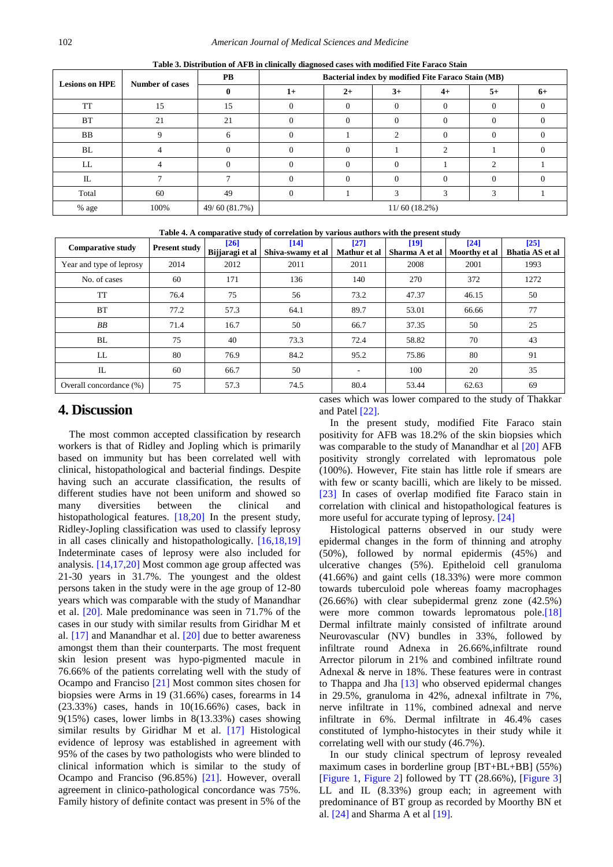<span id="page-3-0"></span>

| <b>Lesions on HPE</b> | <b>Number of cases</b> | <b>PB</b>     | Bacterial index by modified Fite Faraco Stain (MB) |      |          |      |      |      |  |  |
|-----------------------|------------------------|---------------|----------------------------------------------------|------|----------|------|------|------|--|--|
|                       |                        |               | $1+$                                               | $2+$ | $3+$     | $4+$ | $5+$ | $6+$ |  |  |
| TT                    | 15                     | 15            |                                                    |      | 0        |      |      |      |  |  |
| <b>BT</b>             | 21                     | 21            |                                                    |      | $\Omega$ |      |      |      |  |  |
| BB                    | $\Omega$               | 6             |                                                    |      | ◠        |      |      |      |  |  |
| BL                    |                        |               |                                                    |      |          |      |      |      |  |  |
| LL                    |                        |               |                                                    |      |          |      |      |      |  |  |
| IL                    |                        |               |                                                    |      | 0        |      |      |      |  |  |
| Total                 | 60                     | 49            |                                                    |      |          |      |      |      |  |  |
| % age                 | 100%                   | 49/60 (81.7%) | 11/60(18.2%)                                       |      |          |      |      |      |  |  |

**Table 3. Distribution of AFB in clinically diagnosed cases with modified Fite Faraco Stain** 

|  | Table 4. A comparative study of correlation by various authors with the present study |  |     |
|--|---------------------------------------------------------------------------------------|--|-----|
|  |                                                                                       |  | ٠n٠ |

<span id="page-3-1"></span>

| <b>Comparative study</b> | <b>Present study</b> | [26]            | [14]              | [27]                     | [19]           | [24]          | $[25]$                 |
|--------------------------|----------------------|-----------------|-------------------|--------------------------|----------------|---------------|------------------------|
|                          |                      | Bijjaragi et al | Shiva-swamy et al | Mathur et al             | Sharma A et al | Moorthy et al | <b>Bhatia AS et al</b> |
| Year and type of leprosy | 2014                 | 2012            | 2011              | 2011                     | 2008           | 2001          | 1993                   |
| No. of cases             | 60                   | 171             | 136               | 140                      | 270            | 372           | 1272                   |
| <b>TT</b>                | 76.4                 | 75              | 56                | 73.2                     | 47.37          | 46.15         | 50                     |
| <b>BT</b>                | 77.2                 | 57.3            | 64.1              | 89.7                     | 53.01          | 66.66         | 77                     |
| BB                       | 71.4                 | 16.7            | 50                | 66.7                     | 37.35          | 50            | 25                     |
| BL                       | 75                   | 40              | 73.3              | 72.4                     | 58.82          | 70            | 43                     |
| LL                       | 80                   | 76.9            | 84.2              | 95.2                     | 75.86          | 80            | 91                     |
| IL                       | 60                   | 66.7            | 50                | $\overline{\phantom{a}}$ | 100            | 20            | 35                     |
| Overall concordance (%)  | 75                   | 57.3            | 74.5              | 80.4                     | 53.44          | 62.63         | 69                     |

#### **4. Discussion**

The most common accepted classification by research workers is that of Ridley and Jopling which is primarily based on immunity but has been correlated well with clinical, histopathological and bacterial findings. Despite having such an accurate classification, the results of different studies have not been uniform and showed so many diversities between the clinical and histopathological features. [\[18,20\]](#page-8-14) In the present study, Ridley-Jopling classification was used to classify leprosy in all cases clinically and histopathologically. [\[16,18,19\]](#page-8-12) Indeterminate cases of leprosy were also included for analysis. [\[14,17,20\]](#page-8-10) Most common age group affected was 21-30 years in 31.7%. The youngest and the oldest persons taken in the study were in the age group of 12-80 years which was comparable with the study of Manandhar et al. [\[20\].](#page-8-20) Male predominance was seen in 71.7% of the cases in our study with similar results from Giridhar M et al. [\[17\]](#page-8-13) and Manandhar et al. [\[20\]](#page-8-20) due to better awareness amongst them than their counterparts. The most frequent skin lesion present was hypo-pigmented macule in 76.66% of the patients correlating well with the study of Ocampo and Franciso [\[21\]](#page-8-21) Most common sites chosen for biopsies were Arms in 19 (31.66%) cases, forearms in 14 (23.33%) cases, hands in 10(16.66%) cases, back in 9(15%) cases, lower limbs in 8(13.33%) cases showing similar results by Giridhar M et al. [\[17\]](#page-8-13) Histological evidence of leprosy was established in agreement with 95% of the cases by two pathologists who were blinded to clinical information which is similar to the study of Ocampo and Franciso (96.85%) [\[21\].](#page-8-21) However, overall agreement in clinico-pathological concordance was 75%. Family history of definite contact was present in 5% of the

cases which was lower compared to the study of Thakkar and Pate[l \[22\].](#page-8-22)

In the present study, modified Fite Faraco stain positivity for AFB was 18.2% of the skin biopsies which was comparable to the study of Manandhar et al [\[20\]](#page-8-20) AFB positivity strongly correlated with lepromatous pole (100%). However, Fite stain has little role if smears are with few or scanty bacilli, which are likely to be missed. [\[23\]](#page-8-23) In cases of overlap modified fite Faraco stain in correlation with clinical and histopathological features is more useful for accurate typing of leprosy. [\[24\]](#page-8-18)

Histological patterns observed in our study were epidermal changes in the form of thinning and atrophy (50%), followed by normal epidermis (45%) and ulcerative changes (5%). Epitheloid cell granuloma (41.66%) and gaint cells (18.33%) were more common towards tuberculoid pole whereas foamy macrophages (26.66%) with clear subepidermal grenz zone (42.5%) were more common towards lepromatous pole.<sup>[18]</sup> Dermal infiltrate mainly consisted of infiltrate around Neurovascular (NV) bundles in 33%, followed by infiltrate round Adnexa in 26.66%,infiltrate round Arrector pilorum in 21% and combined infiltrate round Adnexal & nerve in 18%. These features were in contrast to Thappa and Jha [\[13\]](#page-8-9) who observed epidermal changes in 29.5%, granuloma in 42%, adnexal infiltrate in 7%, nerve infiltrate in 11%, combined adnexal and nerve infiltrate in 6%. Dermal infiltrate in 46.4% cases constituted of lympho-histocytes in their study while it correlating well with our study (46.7%).

In our study clinical spectrum of leprosy revealed maximum cases in borderline group [BT+BL+BB] (55%) [\[Figure 1,](#page-4-0) [Figure 2\]](#page-4-1) followed by TT (28.66%), [\[Figure 3\]](#page-4-2) LL and IL (8.33%) group each; in agreement with predominance of BT group as recorded by Moorthy BN et al. [\[24\]](#page-8-18) and Sharma A et a[l \[19\].](#page-8-15)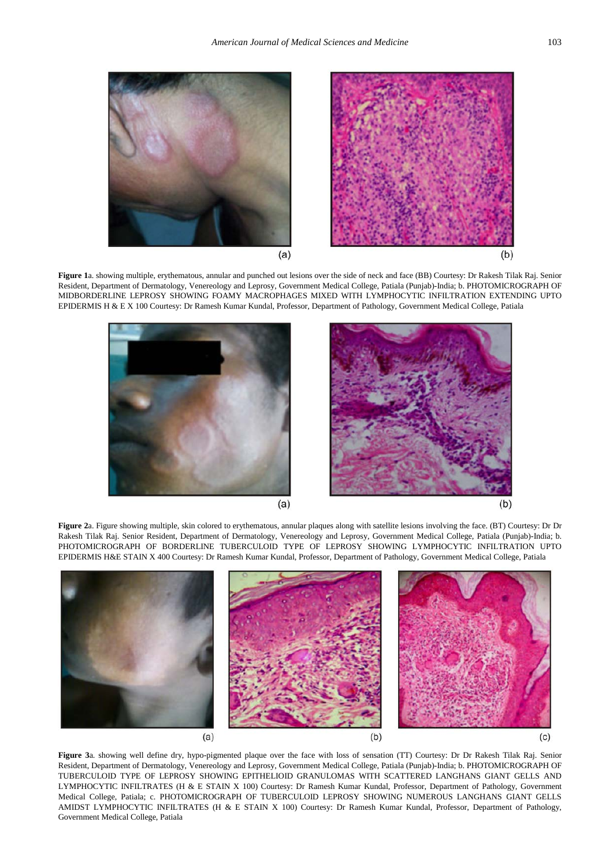<span id="page-4-0"></span>

Figure 1a. showing multiple, erythematous, annular and punched out lesions over the side of neck and face (BB) Courtesy: Dr Rakesh Tilak Raj. Senior Resident, Department of Dermatology, Venereology and Leprosy, Government Medical College, Patiala (Punjab)-India; b. PHOTOMICROGRAPH OF MIDBORDERLINE LEPROSY SHOWING FOAMY MACROPHAGES MIXED WITH LYMPHOCYTIC INFILTRATION EXTENDING UPTO EPIDERMIS H & E X 100 Courtesy: Dr Ramesh Kumar Kundal, Professor, Department of Pathology, Government Medical College, Patiala

<span id="page-4-1"></span>

**Figure 2**a. Figure showing multiple, skin colored to erythematous, annular plaques along with satellite lesions involving the face. (BT) Courtesy: Dr Dr Rakesh Tilak Raj. Senior Resident, Department of Dermatology, Venereology and Leprosy, Government Medical College, Patiala (Punjab)-India; b. PHOTOMICROGRAPH OF BORDERLINE TUBERCULOID TYPE OF LEPROSY SHOWING LYMPHOCYTIC INFILTRATION UPTO EPIDERMIS H&E STAIN X 400 Courtesy: Dr Ramesh Kumar Kundal, Professor, Department of Pathology, Government Medical College, Patiala

<span id="page-4-2"></span>

**Figure 3**a. showing well define dry, hypo-pigmented plaque over the face with loss of sensation (TT) Courtesy: Dr Dr Rakesh Tilak Raj. Senior Resident, Department of Dermatology, Venereology and Leprosy, Government Medical College, Patiala (Punjab)-India; b. PHOTOMICROGRAPH OF TUBERCULOID TYPE OF LEPROSY SHOWING EPITHELIOID GRANULOMAS WITH SCATTERED LANGHANS GIANT GELLS AND LYMPHOCYTIC INFILTRATES (H & E STAIN X 100) Courtesy: Dr Ramesh Kumar Kundal, Professor, Department of Pathology, Government Medical College, Patiala; c. PHOTOMICROGRAPH OF TUBERCULOID LEPROSY SHOWING NUMEROUS LANGHANS GIANT GELLS AMIDST LYMPHOCYTIC INFILTRATES (H & E STAIN X 100) Courtesy: Dr Ramesh Kumar Kundal, Professor, Department of Pathology, Government Medical College, Patiala

 $(b)$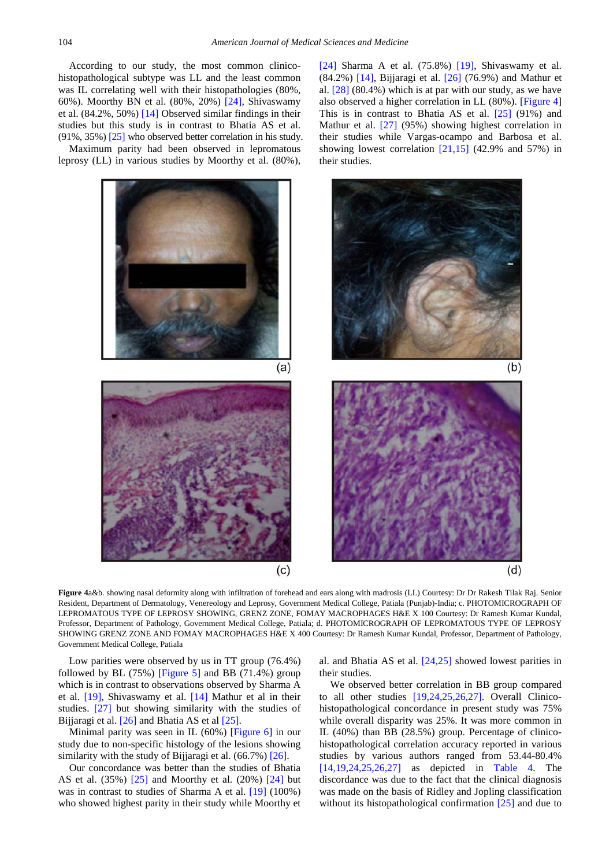According to our study, the most common clinicohistopathological subtype was LL and the least common was IL correlating well with their histopathologies (80%, 60%). Moorthy BN et al. (80%, 20%) [\[24\],](#page-8-18) Shivaswamy et al. (84.2%, 50%) [\[14\]](#page-8-10) Observed similar findings in their studies but this study is in contrast to Bhatia AS et al. (91%, 35%) [\[25\]](#page-8-19) who observed better correlation in his study.

<span id="page-5-0"></span>Maximum parity had been observed in lepromatous leprosy (LL) in various studies by Moorthy et al. (80%),



**Figure 4**a&b. showing nasal deformity along with infiltration of forehead and ears along with madrosis (LL) Courtesy: Dr Dr Rakesh Tilak Raj. Senior Resident, Department of Dermatology, Venereology and Leprosy, Government Medical College, Patiala (Punjab)-India; c. PHOTOMICROGRAPH OF LEPROMATOUS TYPE OF LEPROSY SHOWING, GRENZ ZONE, FOMAY MACROPHAGES H&E X 100 Courtesy: Dr Ramesh Kumar Kundal, Professor, Department of Pathology, Government Medical College, Patiala; d. PHOTOMICROGRAPH OF LEPROMATOUS TYPE OF LEPROSY SHOWING GRENZ ZONE AND FOMAY MACROPHAGES H&E X 400 Courtesy: Dr Ramesh Kumar Kundal, Professor, Department of Pathology, Government Medical College, Patiala

Low parities were observed by us in TT group (76.4%) followed by BL  $(75%)$  [\[Figure 5\]](#page-6-0) and BB  $(71.4%)$  group which is in contrast to observations observed by Sharma A et al. [\[19\],](#page-8-15) Shivaswamy et al. [\[14\]](#page-8-10) Mathur et al in their studies. [\[27\]](#page-8-17) but showing similarity with the studies of Bijjaragi et al. [\[26\]](#page-8-16) and Bhatia AS et al [\[25\].](#page-8-19)

Minimal parity was seen in IL (60%) [\[Figure 6\]](#page-6-1) in our study due to non-specific histology of the lesions showing similarity with the study of Bijjaragi et al. (66.7%) [\[26\].](#page-8-16)

Our concordance was better than the studies of Bhatia AS et al. (35%) [\[25\]](#page-8-19) and Moorthy et al. (20%) [\[24\]](#page-8-18) but was in contrast to studies of Sharma A et al. [\[19\]](#page-8-15) (100%) who showed highest parity in their study while Moorthy et al. and Bhatia AS et al. [\[24,25\]](#page-8-18) showed lowest parities in their studies.

[\[24\]](#page-8-18) Sharma A et al. (75.8%) [\[19\],](#page-8-15) Shivaswamy et al.  $(84.2\%)$  [\[14\],](#page-8-10) Bijjaragi et al. [\[26\]](#page-8-16) (76.9%) and Mathur et al. [\[28\]](#page-8-24) (80.4%) which is at par with our study, as we have also observed a higher correlation in LL (80%). [\[Figure 4\]](#page-5-0) This is in contrast to Bhatia AS et al. [\[25\]](#page-8-19) (91%) and Mathur et al. [\[27\]](#page-8-17) (95%) showing highest correlation in their studies while Vargas-ocampo and Barbosa et al. showing lowest correlation  $[21,15]$  (42.9% and 57%) in

We observed better correlation in BB group compared to all other studies [\[19,24,25,26,27\].](#page-8-15) Overall Clinicohistopathological concordance in present study was 75% while overall disparity was 25%. It was more common in IL (40%) than BB (28.5%) group. Percentage of clinicohistopathological correlation accuracy reported in various studies by various authors ranged from 53.44-80.4% [\[14,19,24,25,26,27\]](#page-8-10) as depicted in [Table 4.](#page-3-1) The discordance was due to the fact that the clinical diagnosis was made on the basis of Ridley and Jopling classification without its histopathological confirmation [\[25\]](#page-8-19) and due to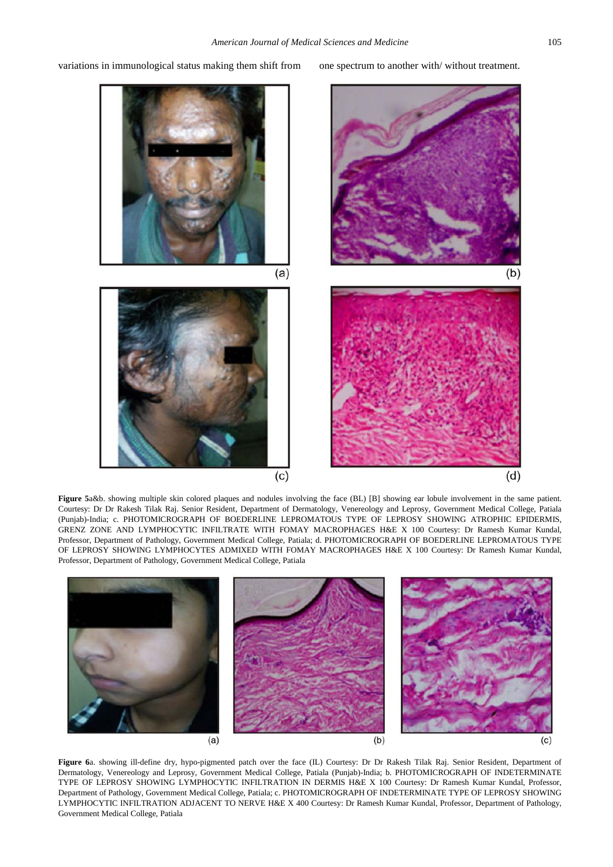variations in immunological status making them shift from one spectrum to another with/ without treatment.

<span id="page-6-0"></span>

**Figure 5**a&b. showing multiple skin colored plaques and nodules involving the face (BL) [B] showing ear lobule involvement in the same patient. Courtesy: Dr Dr Rakesh Tilak Raj. Senior Resident, Department of Dermatology, Venereology and Leprosy, Government Medical College, Patiala (Punjab)-India; c. PHOTOMICROGRAPH OF BOEDERLINE LEPROMATOUS TYPE OF LEPROSY SHOWING ATROPHIC EPIDERMIS, GRENZ ZONE AND LYMPHOCYTIC INFILTRATE WITH FOMAY MACROPHAGES H&E X 100 Courtesy: Dr Ramesh Kumar Kundal, Professor, Department of Pathology, Government Medical College, Patiala; d. PHOTOMICROGRAPH OF BOEDERLINE LEPROMATOUS TYPE OF LEPROSY SHOWING LYMPHOCYTES ADMIXED WITH FOMAY MACROPHAGES H&E X 100 Courtesy: Dr Ramesh Kumar Kundal, Professor, Department of Pathology, Government Medical College, Patiala

<span id="page-6-1"></span>

**Figure 6**a. showing ill-define dry, hypo-pigmented patch over the face (IL) Courtesy: Dr Dr Rakesh Tilak Raj. Senior Resident, Department of Dermatology, Venereology and Leprosy, Government Medical College, Patiala (Punjab)-India; b. PHOTOMICROGRAPH OF INDETERMINATE TYPE OF LEPROSY SHOWING LYMPHOCYTIC INFILTRATION IN DERMIS H&E X 100 Courtesy: Dr Ramesh Kumar Kundal, Professor, Department of Pathology, Government Medical College, Patiala; c. PHOTOMICROGRAPH OF INDETERMINATE TYPE OF LEPROSY SHOWING LYMPHOCYTIC INFILTRATION ADJACENT TO NERVE H&E X 400 Courtesy: Dr Ramesh Kumar Kundal, Professor, Department of Pathology, Government Medical College, Patiala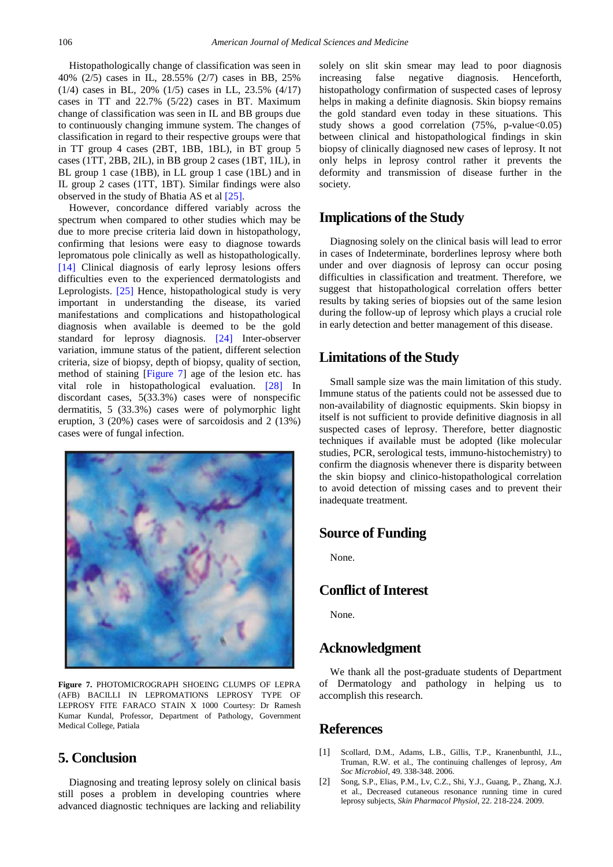Histopathologically change of classification was seen in 40% (2/5) cases in IL, 28.55% (2/7) cases in BB, 25% (1/4) cases in BL, 20% (1/5) cases in LL, 23.5% (4/17) cases in TT and 22.7% (5/22) cases in BT. Maximum change of classification was seen in IL and BB groups due to continuously changing immune system. The changes of classification in regard to their respective groups were that in TT group 4 cases (2BT, 1BB, 1BL), in BT group 5 cases (1TT, 2BB, 2IL), in BB group 2 cases (1BT, 1IL), in BL group 1 case (1BB), in LL group 1 case (1BL) and in IL group 2 cases (1TT, 1BT). Similar findings were also observed in the study of Bhatia AS et al [\[25\].](#page-8-19)

However, concordance differed variably across the spectrum when compared to other studies which may be due to more precise criteria laid down in histopathology, confirming that lesions were easy to diagnose towards lepromatous pole clinically as well as histopathologically. [\[14\]](#page-8-10) Clinical diagnosis of early leprosy lesions offers difficulties even to the experienced dermatologists and Leprologists. [\[25\]](#page-8-19) Hence, histopathological study is very important in understanding the disease, its varied manifestations and complications and histopathological diagnosis when available is deemed to be the gold standard for leprosy diagnosis. [\[24\]](#page-8-18) Inter-observer variation, immune status of the patient, different selection criteria, size of biopsy, depth of biopsy, quality of section, method of staining [\[Figure 7\]](#page-7-1) age of the lesion etc. has vital role in histopathological evaluation. [\[28\]](#page-8-24) In discordant cases, 5(33.3%) cases were of nonspecific dermatitis, 5 (33.3%) cases were of polymorphic light eruption, 3 (20%) cases were of sarcoidosis and 2 (13%) cases were of fungal infection.

<span id="page-7-1"></span>

**Figure 7.** PHOTOMICROGRAPH SHOEING CLUMPS OF LEPRA (AFB) BACILLI IN LEPROMATIONS LEPROSY TYPE OF LEPROSY FITE FARACO STAIN X 1000 Courtesy: Dr Ramesh Kumar Kundal, Professor, Department of Pathology, Government Medical College, Patiala

## **5. Conclusion**

Diagnosing and treating leprosy solely on clinical basis still poses a problem in developing countries where advanced diagnostic techniques are lacking and reliability

solely on slit skin smear may lead to poor diagnosis increasing false negative diagnosis. Henceforth, histopathology confirmation of suspected cases of leprosy helps in making a definite diagnosis. Skin biopsy remains the gold standard even today in these situations. This study shows a good correlation  $(75\% , p-value<0.05)$ between clinical and histopathological findings in skin biopsy of clinically diagnosed new cases of leprosy. It not only helps in leprosy control rather it prevents the deformity and transmission of disease further in the society.

#### **Implications of the Study**

Diagnosing solely on the clinical basis will lead to error in cases of Indeterminate, borderlines leprosy where both under and over diagnosis of leprosy can occur posing difficulties in classification and treatment. Therefore, we suggest that histopathological correlation offers better results by taking series of biopsies out of the same lesion during the follow-up of leprosy which plays a crucial role in early detection and better management of this disease.

#### **Limitations of the Study**

Small sample size was the main limitation of this study. Immune status of the patients could not be assessed due to non-availability of diagnostic equipments. Skin biopsy in itself is not sufficient to provide definitive diagnosis in all suspected cases of leprosy. Therefore, better diagnostic techniques if available must be adopted (like molecular studies, PCR, serological tests, immuno-histochemistry) to confirm the diagnosis whenever there is disparity between the skin biopsy and clinico-histopathological correlation to avoid detection of missing cases and to prevent their inadequate treatment.

#### **Source of Funding**

None.

## **Conflict of Interest**

None.

## **Acknowledgment**

We thank all the post-graduate students of Department of Dermatology and pathology in helping us to accomplish this research.

# **References**

- <span id="page-7-0"></span>[1] Scollard, D.M., Adams, L.B., Gillis, T.P., Kranenbunthl, J.L., Truman, R.W. et al., The continuing challenges of leprosy, *Am Soc Microbiol*, 49. 338-348. 2006.
- [2] Song, S.P., Elias, P.M., Lv, C.Z., Shi, Y.J., Guang, P., Zhang, X.J. et al., Decreased cutaneous resonance running time in cured leprosy subjects, *Skin Pharmacol Physiol*, 22. 218-224. 2009.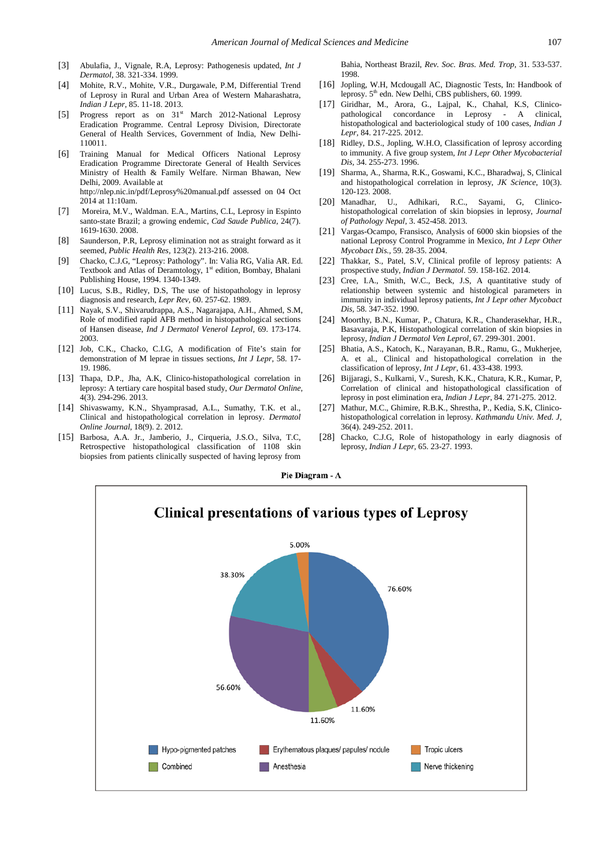- <span id="page-8-0"></span>[3] Abulafia, J., Vignale, R.A, Leprosy: Pathogenesis updated, *Int J Dermatol*, 38. 321-334. 1999.
- <span id="page-8-1"></span>[4] Mohite, R.V., Mohite, V.R., Durgawale, P.M, Differential Trend of Leprosy in Rural and Urban Area of Western Maharashatra, *Indian J Lepr*, 85. 11-18. 2013.
- <span id="page-8-2"></span>[5] Progress report as on 31<sup>st</sup> March 2012-National Leprosy Eradication Programme. Central Leprosy Division, Directorate General of Health Services, Government of India, New Delhi-110011.
- <span id="page-8-3"></span>[6] Training Manual for Medical Officers National Leprosy Eradication Programme Directorate General of Health Services Ministry of Health & Family Welfare. Nirman Bhawan, New Delhi, 2009. Available at http://nlep.nic.in/pdf/Leprosy%20manual.pdf assessed on 04 Oct 2014 at 11:10am.
- <span id="page-8-4"></span>[7] Moreira, M.V., Waldman. E.A., Martins, C.L, Leprosy in Espinto santo-state Brazil; a growing endemic, *Cad Saude Publica*, 24(7). 1619-1630. 2008.
- <span id="page-8-5"></span>[8] Saunderson, P.R, Leprosy elimination not as straight forward as it seemed, *Public Health Res,* 123(2). 213-216. 2008.
- <span id="page-8-6"></span>[9] Chacko, C.J.G, "Leprosy: Pathology". In: Valia RG, Valia AR. Ed. Textbook and Atlas of Deramtology, 1<sup>st</sup> edition, Bombay, Bhalani Publishing House, 1994. 1340-1349.
- <span id="page-8-7"></span>[10] Lucus, S.B., Ridley, D.S, The use of histopathology in leprosy diagnosis and research, *Lepr Rev,* 60. 257-62. 1989.
- [11] Nayak, S.V., Shivarudrappa, A.S., Nagarajapa, A.H., Ahmed, S.M, Role of modified rapid AFB method in histopathological sections of Hansen disease, *Ind J Dermatol Venerol Leprol,* 69. 173-174. 2003.
- <span id="page-8-8"></span>[12] Job, C.K., Chacko, C.I.G, A modification of Fite's stain for demonstration of M leprae in tissues sections, *Int J Lepr,* 58. 17- 19. 1986.
- <span id="page-8-9"></span>[13] Thapa, D.P., Jha, A.K, Clinico-histopathological correlation in leprosy: A tertiary care hospital based study, *Our Dermatol Online,* 4(3). 294-296. 2013.
- <span id="page-8-10"></span>[14] Shivaswamy, K.N., Shyamprasad, A.L., Sumathy, T.K. et al., Clinical and histopathological correlation in leprosy. *Dermatol Online Journal*, 18(9). 2. 2012.
- <span id="page-8-11"></span>[15] Barbosa, A.A. Jr., Jamberio, J., Cirqueria, J.S.O., Silva, T.C, Retrospective histopathological classification of 1108 skin biopsies from patients clinically suspected of having leprosy from

Bahia, Northeast Brazil, *Rev. Soc. Bras. Med. Trop,* 31. 533-537. 1998.

- <span id="page-8-12"></span>[16] Jopling, W.H, Mcdougall AC, Diagnostic Tests, In: Handbook of leprosy.  $5<sup>th</sup>$  edn. New Delhi, CBS publishers, 60. 1999.
- <span id="page-8-13"></span>[17] Giridhar, M., Arora, G., Lajpal, K., Chahal, K.S, Clinicopathological concordance in Leprosy - A clinical, histopathological and bacteriological study of 100 cases, *Indian J Lepr,* 84. 217-225. 2012.
- <span id="page-8-14"></span>[18] Ridley, D.S., Jopling, W.H.O, Classification of leprosy according to immunity. A five group system, *Int J Lepr Other Mycobacterial Dis,* 34. 255-273. 1996.
- <span id="page-8-15"></span>[19] Sharma, A., Sharma, R.K., Goswami, K.C., Bharadwaj, S, Clinical and histopathological correlation in leprosy, *JK Science*, 10(3). 120-123. 2008.
- <span id="page-8-20"></span>[20] Manadhar, U., Adhikari, R.C., Sayami, G, Clinicohistopathological correlation of skin biopsies in leprosy, *Journal of Pathology Nepal*, 3. 452-458. 2013.
- <span id="page-8-21"></span>[21] Vargas-Ocampo, Fransisco, Analysis of 6000 skin biopsies of the national Leprosy Control Programme in Mexico, *Int J Lepr Other Mycobact Dis.,* 59. 28-35. 2004.
- <span id="page-8-22"></span>[22] Thakkar, S., Patel, S.V, Clinical profile of leprosy patients: A prospective study, *Indian J Dermatol.* 59. 158-162. 2014.
- <span id="page-8-23"></span>[23] Cree, I.A., Smith, W.C., Beck, J.S. A quantitative study of relationship between systemic and histological parameters in immunity in individual leprosy patients, *Int J Lepr other Mycobact Dis,* 58. 347-352. 1990.
- <span id="page-8-18"></span>[24] Moorthy, B.N., Kumar, P., Chatura, K.R., Chanderasekhar, H.R., Basavaraja, P.K, Histopathological correlation of skin biopsies in leprosy, *Indian J Dermatol Ven Leprol,* 67. 299-301. 2001.
- <span id="page-8-19"></span>[25] Bhatia, A.S., Katoch, K., Narayanan, B.R., Ramu, G., Mukherjee, A. et al*.*, Clinical and histopathological correlation in the classification of leprosy, *Int J Lepr*, 61. 433-438. 1993.
- <span id="page-8-16"></span>[26] Bijjaragi, S., Kulkarni, V., Suresh, K.K., Chatura, K.R., Kumar, P, Correlation of clinical and histopathological classification of leprosy in post elimination era, *Indian J Lepr,* 84. 271-275. 2012.
- <span id="page-8-17"></span>[27] Mathur, M.C., Ghimire, R.B.K., Shrestha, P., Kedia, S.K, Clinicohistopathological correlation in leprosy. *Kathmandu Univ. Med. J,* 36(4). 249-252. 2011.
- <span id="page-8-24"></span>[28] Chacko, C.J.G, Role of histopathology in early diagnosis of leprosy, *Indian J Lepr,* 65. 23-27. 1993.